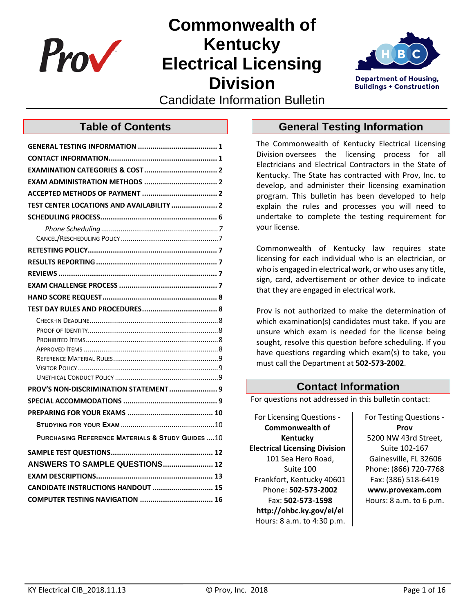

# **Commonwealth of Kentucky Electrical Licensing Division**



Candidate Information Bulletin

### **Table of Contents**

| TEST CENTER LOCATIONS AND AVAILABILITY  2        |
|--------------------------------------------------|
|                                                  |
|                                                  |
|                                                  |
|                                                  |
|                                                  |
|                                                  |
|                                                  |
|                                                  |
|                                                  |
|                                                  |
|                                                  |
|                                                  |
|                                                  |
|                                                  |
|                                                  |
| PROV'S NON-DISCRIMINATION STATEMENT 9            |
|                                                  |
|                                                  |
|                                                  |
| PURCHASING REFERENCE MATERIALS & STUDY GUIDES 10 |
|                                                  |
| ANSWERS TO SAMPLE QUESTIONS 12                   |
|                                                  |
| CANDIDATE INSTRUCTIONS HANDOUT  15               |
|                                                  |
|                                                  |

### <span id="page-0-0"></span>**General Testing Information**

The Commonwealth of Kentucky Electrical Licensing Division oversees the licensing process for all Electricians and Electrical Contractors in the State of Kentucky. The State has contracted with Prov, Inc. to develop, and administer their licensing examination program. This bulletin has been developed to help explain the rules and processes you will need to undertake to complete the testing requirement for your license.

Commonwealth of Kentucky law requires state licensing for each individual who is an electrician, or who is engaged in electrical work, or who uses any title, sign, card, advertisement or other device to indicate that they are engaged in electrical work.

Prov is not authorized to make the determination of which examination(s) candidates must take. If you are unsure which exam is needed for the license being sought, resolve this question before scheduling. If you have questions regarding which exam(s) to take, you must call the Department at **502-573-2002**.

### **Contact Information**

<span id="page-0-1"></span>For questions not addressed in this bulletin contact:

For Licensing Questions - **Commonwealth of Kentucky Electrical Licensing Division** 101 Sea Hero Road, Suite 100 Frankfort, Kentucky 40601 Phone: **502-573-2002** Fax: **502-573-1598 http://ohbc.ky.gov/ei/el** Hours: 8 a.m. to 4:30 p.m. For Testing Questions - **Prov** 5200 NW 43rd Street, Suite 102-167 Gainesville, FL 32606 Phone: (866) 720-7768 Fax: (386) 518-6419 **www.provexam.com** Hours: 8 a.m. to 6 p.m.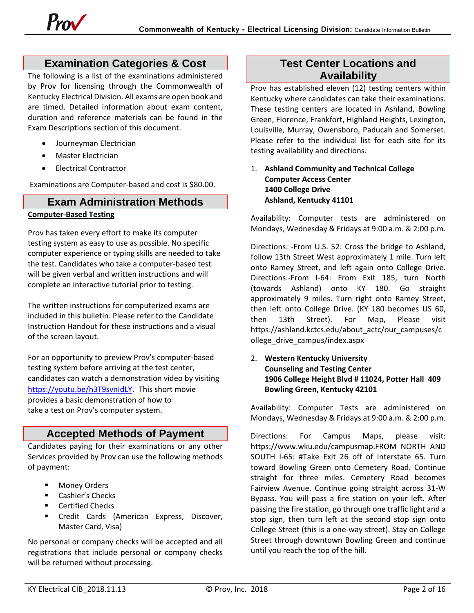### **Examination Categories & Cost**

<span id="page-1-0"></span>The following is a list of the examinations administered by Prov for licensing through the Commonwealth of Kentucky Electrical Division. All exams are open book and are timed. Detailed information about exam content, duration and reference materials can be found in the Exam Descriptions section of this document.

- Journeyman Electrician
- Master Electrician
- Electrical Contractor

Examinations are Computer-based and cost is \$80.00.

### <span id="page-1-1"></span>**Exam Administration Methods Computer-Based Testing**

Prov has taken every effort to make its computer testing system as easy to use as possible. No specific computer experience or typing skills are needed to take the test. Candidates who take a computer-based test will be given verbal and written instructions and will complete an interactive tutorial prior to testing.

The written instructions for computerized exams are included in this bulletin. Please refer to the Candidate Instruction Handout for these instructions and a visual of the screen layout.

For an opportunity to preview Prov's computer-based testing system before arriving at the test center, candidates can watch a demonstration video by visiting [https://youtu.be/h3T9svnIdLY.](https://youtu.be/h3T9svnIdLY) This short movie provides a basic demonstration of how to take a test on Prov's computer system.

### <span id="page-1-2"></span>**Accepted Methods of Payment**

Candidates paying for their examinations or any other Services provided by Prov can use the following methods of payment:

- **Money Orders**
- **E** Cashier's Checks
- **E** Certified Checks
- **EXPLES** Credit Cards (American Express, Discover, Master Card, Visa)

No personal or company checks will be accepted and all registrations that include personal or company checks will be returned without processing.

### **Test Center Locations and Availability**

<span id="page-1-3"></span>Prov has established eleven (12) testing centers within Kentucky where candidates can take their examinations. These testing centers are located in Ashland, Bowling Green, Florence, Frankfort, Highland Heights, Lexington, Louisville, Murray, Owensboro, Paducah and Somerset. Please refer to the individual list for each site for its testing availability and directions.

### 1. **Ashland Community and Technical College Computer Access Center 1400 College Drive Ashland, Kentucky 41101**

Availability: Computer tests are administered on Mondays, Wednesday & Fridays at 9:00 a.m. & 2:00 p.m.

Directions: -From U.S. 52: Cross the bridge to Ashland, follow 13th Street West approximately 1 mile. Turn left onto Ramey Street, and left again onto College Drive. Directions:-From I-64: From Exit 185, turn North (towards Ashland) onto KY 180. Go straight approximately 9 miles. Turn right onto Ramey Street, then left onto College Drive. (KY 180 becomes US 60, then 13th Street). For Map, Please visit https://ashland.kctcs.edu/about\_actc/our\_campuses/c ollege\_drive\_campus/index.aspx

2. **Western Kentucky University Counseling and Testing Center 1906 College Height Blvd # 11024, Potter Hall 409 Bowling Green, Kentucky 42101** 

Availability: Computer Tests are administered on Mondays, Wednesday & Fridays at 9:00 a.m. & 2:00 p.m.

Directions: For Campus Maps, please visit: https://www.wku.edu/campusmap.FROM NORTH AND SOUTH I-65: #Take Exit 26 off of Interstate 65. Turn toward Bowling Green onto Cemetery Road. Continue straight for three miles. Cemetery Road becomes Fairview Avenue. Continue going straight across 31-W Bypass. You will pass a fire station on your left. After passing the fire station, go through one traffic light and a stop sign, then turn left at the second stop sign onto College Street (this is a one-way street). Stay on College Street through downtown Bowling Green and continue until you reach the top of the hill.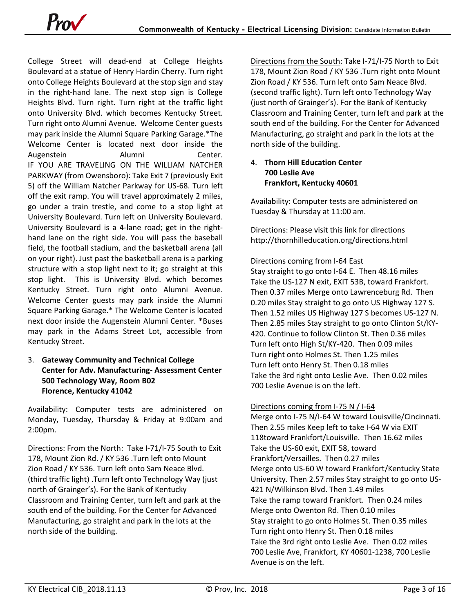College Street will dead-end at College Heights Boulevard at a statue of Henry Hardin Cherry. Turn right onto College Heights Boulevard at the stop sign and stay in the right-hand lane. The next stop sign is College Heights Blvd. Turn right. Turn right at the traffic light onto University Blvd. which becomes Kentucky Street. Turn right onto Alumni Avenue. Welcome Center guests may park inside the Alumni Square Parking Garage.\*The Welcome Center is located next door inside the Augenstein Alumni Center. IF YOU ARE TRAVELING ON THE WILLIAM NATCHER PARKWAY (from Owensboro): Take Exit 7 (previously Exit 5) off the William Natcher Parkway for US-68. Turn left off the exit ramp. You will travel approximately 2 miles, go under a train trestle, and come to a stop light at University Boulevard. Turn left on University Boulevard. University Boulevard is a 4-lane road; get in the righthand lane on the right side. You will pass the baseball field, the football stadium, and the basketball arena (all on your right). Just past the basketball arena is a parking structure with a stop light next to it; go straight at this stop light. This is University Blvd. which becomes Kentucky Street. Turn right onto Alumni Avenue. Welcome Center guests may park inside the Alumni Square Parking Garage.\* The Welcome Center is located next door inside the Augenstein Alumni Center. \*Buses may park in the Adams Street Lot, accessible from Kentucky Street.

### 3. **Gateway Community and Technical College Center for Adv. Manufacturing- Assessment Center 500 Technology Way, Room B02 Florence, Kentucky 41042**

Availability: Computer tests are administered on Monday, Tuesday, Thursday & Friday at 9:00am and 2:00pm.

Directions: From the North: Take I-71/I-75 South to Exit 178, Mount Zion Rd. / KY 536 .Turn left onto Mount Zion Road / KY 536. Turn left onto Sam Neace Blvd. (third traffic light) .Turn left onto Technology Way (just north of Grainger's). For the Bank of Kentucky Classroom and Training Center, turn left and park at the south end of the building. For the Center for Advanced Manufacturing, go straight and park in the lots at the north side of the building.

Directions from the South: Take I-71/I-75 North to Exit 178, Mount Zion Road / KY 536 .Turn right onto Mount Zion Road / KY 536. Turn left onto Sam Neace Blvd. (second traffic light). Turn left onto Technology Way (just north of Grainger's). For the Bank of Kentucky Classroom and Training Center, turn left and park at the south end of the building. For the Center for Advanced Manufacturing, go straight and park in the lots at the north side of the building.

### 4. **Thorn Hill Education Center 700 Leslie Ave Frankfort, Kentucky 40601**

Availability: Computer tests are administered on Tuesday & Thursday at 11:00 am.

Directions: Please visit this link for directions http://thornhilleducation.org/directions.html

### Directions coming from I-64 East

Stay straight to go onto I-64 E. Then 48.16 miles Take the US-127 N exit, EXIT 53B, toward Frankfort. Then 0.37 miles Merge onto Lawrenceburg Rd. Then 0.20 miles Stay straight to go onto US Highway 127 S. Then 1.52 miles US Highway 127 S becomes US-127 N. Then 2.85 miles Stay straight to go onto Clinton St/KY-420. Continue to follow Clinton St. Then 0.36 miles Turn left onto High St/KY-420. Then 0.09 miles Turn right onto Holmes St. Then 1.25 miles Turn left onto Henry St. Then 0.18 miles Take the 3rd right onto Leslie Ave. Then 0.02 miles 700 Leslie Avenue is on the left.

### Directions coming from I-75 N / I-64

Merge onto I-75 N/I-64 W toward Louisville/Cincinnati. Then 2.55 miles Keep left to take I-64 W via EXIT 118toward Frankfort/Louisville. Then 16.62 miles Take the US-60 exit, EXIT 58, toward Frankfort/Versailles. Then 0.27 miles Merge onto US-60 W toward Frankfort/Kentucky State University. Then 2.57 miles Stay straight to go onto US-421 N/Wilkinson Blvd. Then 1.49 miles Take the ramp toward Frankfort. Then 0.24 miles Merge onto Owenton Rd. Then 0.10 miles Stay straight to go onto Holmes St. Then 0.35 miles Turn right onto Henry St. Then 0.18 miles Take the 3rd right onto Leslie Ave. Then 0.02 miles 700 Leslie Ave, Frankfort, KY 40601-1238, 700 Leslie Avenue is on the left.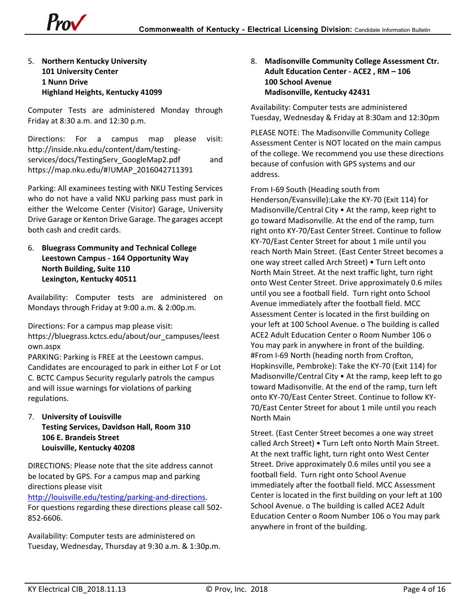

### 5. **Northern Kentucky University 101 University Center 1 Nunn Drive Highland Heights, Kentucky 41099**

Computer Tests are administered Monday through Friday at 8:30 a.m. and 12:30 p.m.

Directions: For a campus map please visit: http://inside.nku.edu/content/dam/testingservices/docs/TestingServ\_GoogleMap2.pdf and https://map.nku.edu/#!UMAP\_2016042711391

Parking: All examinees testing with NKU Testing Services who do not have a valid NKU parking pass must park in either the Welcome Center (Visitor) Garage, University Drive Garage or Kenton Drive Garage. The garages accept both cash and credit cards.

6. **Bluegrass Community and Technical College Leestown Campus - 164 Opportunity Way North Building, Suite 110 Lexington, Kentucky 40511**

Availability: Computer tests are administered on Mondays through Friday at 9:00 a.m. & 2:00p.m.

Directions: For a campus map please visit:

https://bluegrass.kctcs.edu/about/our\_campuses/leest own.aspx

PARKING: Parking is FREE at the Leestown campus. Candidates are encouraged to park in either Lot F or Lot C. BCTC Campus Security regularly patrols the campus and will issue warnings for violations of parking regulations.

7. **University of Louisville Testing Services, Davidson Hall, Room 310 106 E. Brandeis Street Louisville, Kentucky 40208**

DIRECTIONS: Please note that the site address cannot be located by GPS. For a campus map and parking directions please visit [http://louisville.edu/testing/parking-and-directions.](http://louisville.edu/testing/parking-and-directions)

For questions regarding these directions please call 502- 852-6606.

Availability: Computer tests are administered on Tuesday, Wednesday, Thursday at 9:30 a.m. & 1:30p.m. 8. **Madisonville Community College Assessment Ctr. Adult Education Center - ACE2 , RM – 106 100 School Avenue Madisonville, Kentucky 42431**

Availability: Computer tests are administered Tuesday, Wednesday & Friday at 8:30am and 12:30pm

PLEASE NOTE: The Madisonville Community College Assessment Center is NOT located on the main campus of the college. We recommend you use these directions because of confusion with GPS systems and our address.

From I-69 South (Heading south from Henderson/Evansville):Lake the KY-70 (Exit 114) for Madisonville/Central City • At the ramp, keep right to go toward Madisonville. At the end of the ramp, turn right onto KY-70/East Center Street. Continue to follow KY-70/East Center Street for about 1 mile until you reach North Main Street. (East Center Street becomes a one way street called Arch Street) • Turn Left onto North Main Street. At the next traffic light, turn right onto West Center Street. Drive approximately 0.6 miles until you see a football field. Turn right onto School Avenue immediately after the football field. MCC Assessment Center is located in the first building on your left at 100 School Avenue. o The building is called ACE2 Adult Education Center o Room Number 106 o You may park in anywhere in front of the building. #From I-69 North (heading north from Crofton, Hopkinsville, Pembroke): Take the KY-70 (Exit 114) for Madisonville/Central City • At the ramp, keep left to go toward Madisonville. At the end of the ramp, turn left onto KY-70/East Center Street. Continue to follow KY-70/East Center Street for about 1 mile until you reach North Main

Street. (East Center Street becomes a one way street called Arch Street) • Turn Left onto North Main Street. At the next traffic light, turn right onto West Center Street. Drive approximately 0.6 miles until you see a football field. Turn right onto School Avenue immediately after the football field. MCC Assessment Center is located in the first building on your left at 100 School Avenue. o The building is called ACE2 Adult Education Center o Room Number 106 o You may park anywhere in front of the building.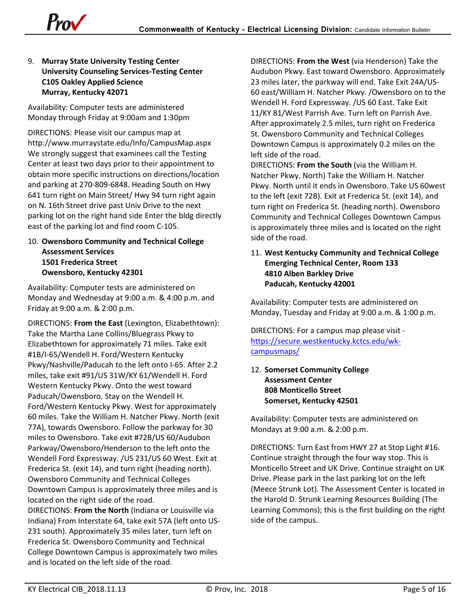

### 9. **Murray State University Testing Center University Counseling Services-Testing Center C105 Oakley Applied Science Murray, Kentucky 42071**

Availability: Computer tests are administered Monday through Friday at 9:00am and 1:30pm

DIRECTIONS: Please visit our campus map at http://www.murraystate.edu/Info/CampusMap.aspx We strongly suggest that examinees call the Testing Center at least two days prior to their appointment to obtain more specific instructions on directions/location and parking at 270-809-6848. Heading South on Hwy 641 turn right on Main Street/ Hwy 94 turn right again on N. 16th Street drive past Univ Drive to the next parking lot on the right hand side Enter the bldg directly east of the parking lot and find room C-105.

10. **Owensboro Community and Technical College Assessment Services 1501 Frederica Street Owensboro, Kentucky 42301**

Availability: Computer tests are administered on Monday and Wednesday at 9:00 a.m. & 4:00 p.m. and Friday at 9:00 a.m. & 2:00 p.m.

DIRECTIONS: **From the East** (Lexington, Elizabethtown): Take the Martha Lane Collins/Bluegrass Pkwy to Elizabethtown for approximately 71 miles. Take exit #1B/I-65/Wendell H. Ford/Western Kentucky Pkwy/Nashville/Paducah to the left onto I-65. After 2.2 miles, take exit #91/US 31W/KY 61/Wendell H. Ford Western Kentucky Pkwy. Onto the west toward Paducah/Owensboro. Stay on the Wendell H. Ford/Western Kentucky Pkwy. West for approximately 60 miles. Take the William H. Natcher Pkwy. North (exit 77A), towards Owensboro. Follow the parkway for 30 miles to Owensboro. Take exit #72B/US 60/Audubon Parkway/Owensboro/Henderson to the left onto the Wendell Ford Expressway. /US 231/US 60 West. Exit at Frederica St. (exit 14), and turn right (heading north). Owensboro Community and Technical Colleges Downtown Campus is approximately three miles and is located on the right side of the road.

DIRECTIONS: **From the North** (Indiana or Louisville via Indiana) From Interstate 64, take exit 57A (left onto US-231 south). Approximately 35 miles later, turn left on Frederica St. Owensboro Community and Technical College Downtown Campus is approximately two miles and is located on the left side of the road.

DIRECTIONS: **From the West** (via Henderson) Take the Audubon Pkwy. East toward Owensboro. Approximately 23 miles later, the parkway will end. Take Exit 24A/US-60 east/William H. Natcher Pkwy. /Owensboro on to the Wendell H. Ford Expressway. /US 60 East. Take Exit 11/KY 81/West Parrish Ave. Turn left on Parrish Ave. After approximately 2.5 miles, turn right on Frederica St. Owensboro Community and Technical Colleges Downtown Campus is approximately 0.2 miles on the left side of the road.

DIRECTIONS: **From the South** (via the William H. Natcher Pkwy. North) Take the William H. Natcher Pkwy. North until it ends in Owensboro. Take US 60west to the left (exit 72B). Exit at Frederica St. (exit 14), and turn right on Frederica St. (heading north). Owensboro Community and Technical Colleges Downtown Campus is approximately three miles and is located on the right side of the road.

### 11. **West Kentucky Community and Technical College Emerging Technical Center, Room 133 4810 Alben Barkley Drive Paducah, Kentucky 42001**

Availability: Computer tests are administered on Monday, Tuesday and Friday at 9:00 a.m. & 1:00 p.m.

DIRECTIONS: For a campus map please visit [https://secure.westkentucky.kctcs.edu/wk](https://secure.westkentucky.kctcs.edu/wk-campusmaps/)[campusmaps/](https://secure.westkentucky.kctcs.edu/wk-campusmaps/)

12. **Somerset Community College Assessment Center 808 Monticello Street Somerset, Kentucky 42501**

Availability: Computer tests are administered on Mondays at 9:00 a.m. & 2:00 p.m.

DIRECTIONS: Turn East from HWY 27 at Stop Light #16. Continue straight through the four way stop. This is Monticello Street and UK Drive. Continue straight on UK Drive. Please park in the last parking lot on the left (Meece Strunk Lot). The Assessment Center is located in the Harold D. Strunk Learning Resources Building (The Learning Commons); this is the first building on the right side of the campus.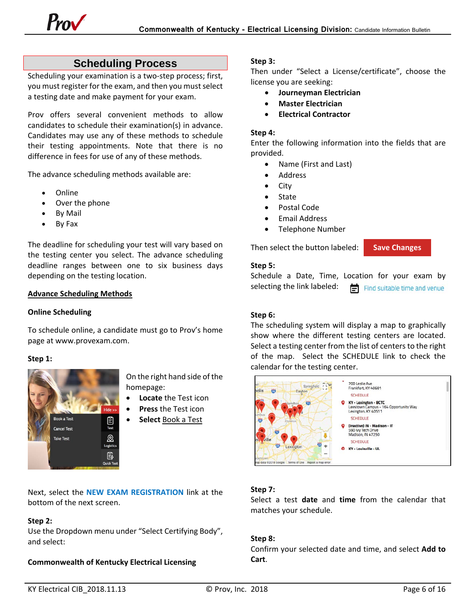### **Scheduling Process**

<span id="page-5-0"></span>Scheduling your examination is a two-step process; first, you must register for the exam, and then you must select a testing date and make payment for your exam.

Prov offers several convenient methods to allow candidates to schedule their examination(s) in advance. Candidates may use any of these methods to schedule their testing appointments. Note that there is no difference in fees for use of any of these methods.

The advance scheduling methods available are:

- Online
- Over the phone
- By Mail
- By Fax

The deadline for scheduling your test will vary based on the testing center you select. The advance scheduling deadline ranges between one to six business days depending on the testing location.

#### **Advance Scheduling Methods**

#### **Online Scheduling**

To schedule online, a candidate must go to Prov's home page at www.provexam.com.

#### **Step 1:**



On the right hand side of the homepage:

- **Locate** the Test icon
- **Press** the Test icon
- **Select** Book a Test

Next, select the **NEW EXAM REGISTRATION** link at the bottom of the next screen.

#### **Step 2:**

Use the Dropdown menu under "Select Certifying Body", and select:

### **Commonwealth of Kentucky Electrical Licensing**

#### **Step 3:**

Then under "Select a License/certificate", choose the license you are seeking:

- **Journeyman Electrician**
- **Master Electrician**
- **Electrical Contractor**

#### **Step 4:**

Enter the following information into the fields that are provided.

- Name (First and Last)
- Address
- City
- State
- Postal Code
- Email Address
- Telephone Number

Then select the button labeled:

#### **Step 5:**

Schedule a Date, Time, Location for your exam by selecting the link labeled: Find suitable time and venue

**Save Changes**

#### **Step 6:**

The scheduling system will display a map to graphically show where the different testing centers are located. Select a testing center from the list of centers to the right of the map. Select the SCHEDULE link to check the calendar for the testing center.

| $n - 10r$<br>Springfield<br>polis<br>岗<br>Dayton                                                                                  | 700 Leslie Ave<br>Frankfort, KY 40601<br><b>SCHEDULE</b>                                                        |
|-----------------------------------------------------------------------------------------------------------------------------------|-----------------------------------------------------------------------------------------------------------------|
| W<br>amilton<br>umbu                                                                                                              | <b>KY - Lexington - BCTC</b><br>Leestown Campus - 164 Opportunity Way<br>Lexington, KY 40511<br><b>SCHEDULE</b> |
| 茵<br>lorence<br>茹<br>ville                                                                                                        | (Inactive) IN - Madison - IT<br>590 Ivy Tech Drive<br>Madison, IN 47250<br><b>SCHEDULE</b>                      |
| $\overline{\mathbf{c}}$<br><b>Lexington</b><br>ο<br>-<br>abethtown<br>Aap data ©2018 Google<br>Terms of Use<br>Report a map error | KY - Louisville - UL                                                                                            |

### **Step 7:**

Select a test **date** and **time** from the calendar that matches your schedule.

### **Step 8:**

Confirm your selected date and time, and select **Add to Cart**.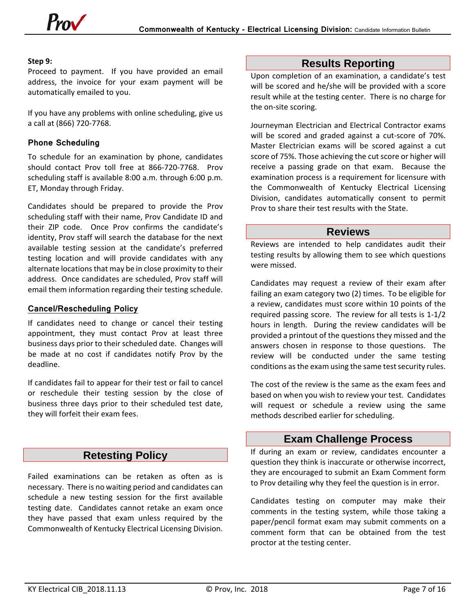#### **Step 9:**

Proceed to payment. If you have provided an email address, the invoice for your exam payment will be automatically emailed to you.

If you have any problems with online scheduling, give us a call at (866) 720-7768.

### <span id="page-6-0"></span>**Phone Scheduling**

To schedule for an examination by phone, candidates should contact Prov toll free at 866-720-7768. Prov scheduling staff is available 8:00 a.m. through 6:00 p.m. ET, Monday through Friday.

Candidates should be prepared to provide the Prov scheduling staff with their name, Prov Candidate ID and their ZIP code. Once Prov confirms the candidate's identity, Prov staff will search the database for the next available testing session at the candidate's preferred testing location and will provide candidates with any alternate locations that may be in close proximity to their address. Once candidates are scheduled, Prov staff will email them information regarding their testing schedule.

#### <span id="page-6-1"></span>**Cancel/Rescheduling Policy**

If candidates need to change or cancel their testing appointment, they must contact Prov at least three business days prior to their scheduled date. Changes will be made at no cost if candidates notify Prov by the deadline.

If candidates fail to appear for their test or fail to cancel or reschedule their testing session by the close of business three days prior to their scheduled test date, they will forfeit their exam fees.

### **Retesting Policy**

<span id="page-6-2"></span>Failed examinations can be retaken as often as is necessary. There is no waiting period and candidates can schedule a new testing session for the first available testing date. Candidates cannot retake an exam once they have passed that exam unless required by the Commonwealth of Kentucky Electrical Licensing Division.

### **Results Reporting**

<span id="page-6-3"></span>Upon completion of an examination, a candidate's test will be scored and he/she will be provided with a score result while at the testing center. There is no charge for the on-site scoring.

Journeyman Electrician and Electrical Contractor exams will be scored and graded against a cut-score of 70%. Master Electrician exams will be scored against a cut score of 75%. Those achieving the cut score or higher will receive a passing grade on that exam. Because the examination process is a requirement for licensure with the Commonwealth of Kentucky Electrical Licensing Division, candidates automatically consent to permit Prov to share their test results with the State.

### **Reviews**

<span id="page-6-4"></span>Reviews are intended to help candidates audit their testing results by allowing them to see which questions were missed.

Candidates may request a review of their exam after failing an exam category two (2) times. To be eligible for a review, candidates must score within 10 points of the required passing score. The review for all tests is 1-1/2 hours in length. During the review candidates will be provided a printout of the questions they missed and the answers chosen in response to those questions. The review will be conducted under the same testing conditions as the exam using the same test security rules.

The cost of the review is the same as the exam fees and based on when you wish to review your test. Candidates will request or schedule a review using the same methods described earlier for scheduling.

### **Exam Challenge Process**

<span id="page-6-5"></span>If during an exam or review, candidates encounter a question they think is inaccurate or otherwise incorrect, they are encouraged to submit an Exam Comment form to Prov detailing why they feel the question is in error.

Candidates testing on computer may make their comments in the testing system, while those taking a paper/pencil format exam may submit comments on a comment form that can be obtained from the test proctor at the testing center.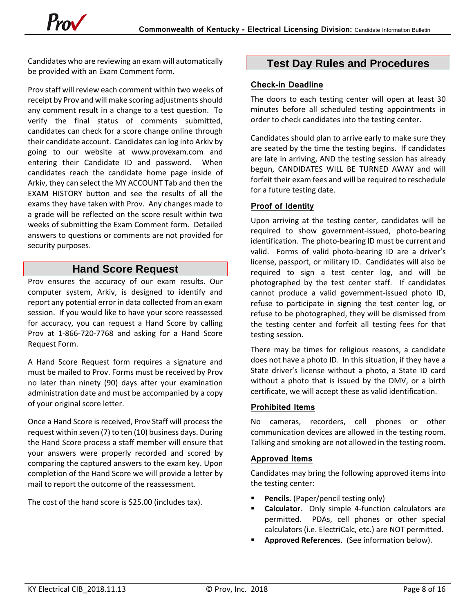Candidates who are reviewing an exam will automatically be provided with an Exam Comment form.

Prov staff will review each comment within two weeks of receipt by Prov and will make scoring adjustments should any comment result in a change to a test question. To verify the final status of comments submitted, candidates can check for a score change online through their candidate account. Candidates can log into Arkiv by going to our website at www.provexam.com and entering their Candidate ID and password. When candidates reach the candidate home page inside of Arkiv, they can select the MY ACCOUNT Tab and then the EXAM HISTORY button and see the results of all the exams they have taken with Prov. Any changes made to a grade will be reflected on the score result within two weeks of submitting the Exam Comment form. Detailed answers to questions or comments are not provided for security purposes.

### **Hand Score Request**

<span id="page-7-0"></span>Prov ensures the accuracy of our exam results. Our computer system, Arkiv, is designed to identify and report any potential error in data collected from an exam session. If you would like to have your score reassessed for accuracy, you can request a Hand Score by calling Prov at 1-866-720-7768 and asking for a Hand Score Request Form.

A Hand Score Request form requires a signature and must be mailed to Prov. Forms must be received by Prov no later than ninety (90) days after your examination administration date and must be accompanied by a copy of your original score letter.

Once a Hand Score is received, Prov Staff will process the request within seven (7) to ten (10) business days. During the Hand Score process a staff member will ensure that your answers were properly recorded and scored by comparing the captured answers to the exam key. Upon completion of the Hand Score we will provide a letter by mail to report the outcome of the reassessment.

The cost of the hand score is \$25.00 (includes tax).

### <span id="page-7-1"></span>**Test Day Rules and Procedures**

### <span id="page-7-2"></span>**Check-in Deadline**

The doors to each testing center will open at least 30 minutes before all scheduled testing appointments in order to check candidates into the testing center.

Candidates should plan to arrive early to make sure they are seated by the time the testing begins. If candidates are late in arriving, AND the testing session has already begun, CANDIDATES WILL BE TURNED AWAY and will forfeit their exam fees and will be required to reschedule for a future testing date.

### <span id="page-7-3"></span>**Proof of Identity**

Upon arriving at the testing center, candidates will be required to show government-issued, photo-bearing identification. The photo-bearing ID must be current and valid. Forms of valid photo-bearing ID are a driver's license, passport, or military ID. Candidates will also be required to sign a test center log, and will be photographed by the test center staff. If candidates cannot produce a valid government-issued photo ID, refuse to participate in signing the test center log, or refuse to be photographed, they will be dismissed from the testing center and forfeit all testing fees for that testing session.

There may be times for religious reasons, a candidate does not have a photo ID. In this situation, if they have a State driver's license without a photo, a State ID card without a photo that is issued by the DMV, or a birth certificate, we will accept these as valid identification.

### <span id="page-7-4"></span>**Prohibited Items**

No cameras, recorders, cell phones or other communication devices are allowed in the testing room. Talking and smoking are not allowed in the testing room.

### <span id="page-7-5"></span>**Approved Items**

Candidates may bring the following approved items into the testing center:

- **Pencils.** (Paper/pencil testing only)
- **Calculator**. Only simple 4-function calculators are permitted. PDAs, cell phones or other special calculators (i.e. ElectriCalc, etc.) are NOT permitted.
- **Approved References**. (See information below).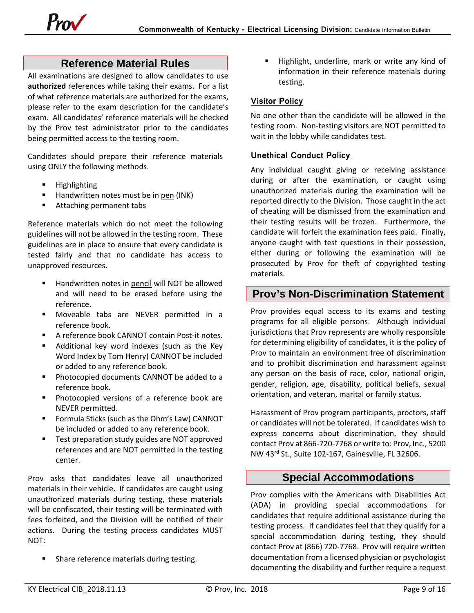### **Reference Material Rules**

<span id="page-8-0"></span>All examinations are designed to allow candidates to use **authorized** references while taking their exams. For a list of what reference materials are authorized for the exams, please refer to the exam description for the candidate's exam. All candidates' reference materials will be checked by the Prov test administrator prior to the candidates being permitted access to the testing room.

Candidates should prepare their reference materials using ONLY the following methods.

- **Highlighting**
- Handwritten notes must be in pen (INK)
- **Attaching permanent tabs**

Reference materials which do not meet the following guidelines will not be allowed in the testing room. These guidelines are in place to ensure that every candidate is tested fairly and that no candidate has access to unapproved resources.

- Handwritten notes in pencil will NOT be allowed and will need to be erased before using the reference.
- Moveable tabs are NEVER permitted in a reference book.
- A reference book CANNOT contain Post-it notes.
- Additional key word indexes (such as the Key Word Index by Tom Henry) CANNOT be included or added to any reference book.
- **Photocopied documents CANNOT be added to a** reference book.
- Photocopied versions of a reference book are NEVER permitted.
- Formula Sticks (such as the Ohm's Law) CANNOT be included or added to any reference book.
- Test preparation study guides are NOT approved references and are NOT permitted in the testing center.

Prov asks that candidates leave all unauthorized materials in their vehicle. If candidates are caught using unauthorized materials during testing, these materials will be confiscated, their testing will be terminated with fees forfeited, and the Division will be notified of their actions. During the testing process candidates MUST NOT:

Share reference materials during testing.

 Highlight, underline, mark or write any kind of information in their reference materials during testing.

### <span id="page-8-1"></span>**Visitor Policy**

No one other than the candidate will be allowed in the testing room. Non-testing visitors are NOT permitted to wait in the lobby while candidates test.

### <span id="page-8-2"></span>**Unethical Conduct Policy**

Any individual caught giving or receiving assistance during or after the examination, or caught using unauthorized materials during the examination will be reported directly to the Division. Those caught in the act of cheating will be dismissed from the examination and their testing results will be frozen. Furthermore, the candidate will forfeit the examination fees paid. Finally, anyone caught with test questions in their possession, either during or following the examination will be prosecuted by Prov for theft of copyrighted testing materials.

### <span id="page-8-3"></span>**Prov's Non-Discrimination Statement**

Prov provides equal access to its exams and testing programs for all eligible persons. Although individual jurisdictions that Prov represents are wholly responsible for determining eligibility of candidates, it is the policy of Prov to maintain an environment free of discrimination and to prohibit discrimination and harassment against any person on the basis of race, color, national origin, gender, religion, age, disability, political beliefs, sexual orientation, and veteran, marital or family status.

Harassment of Prov program participants, proctors, staff or candidates will not be tolerated. If candidates wish to express concerns about discrimination, they should contact Prov at 866-720-7768 or write to: Prov, Inc., 5200 NW 43rd St., Suite 102-167, Gainesville, FL 32606.

### **Special Accommodations**

<span id="page-8-4"></span>Prov complies with the Americans with Disabilities Act (ADA) in providing special accommodations for candidates that require additional assistance during the testing process. If candidates feel that they qualify for a special accommodation during testing, they should contact Prov at (866) 720-7768. Prov will require written documentation from a licensed physician or psychologist documenting the disability and further require a request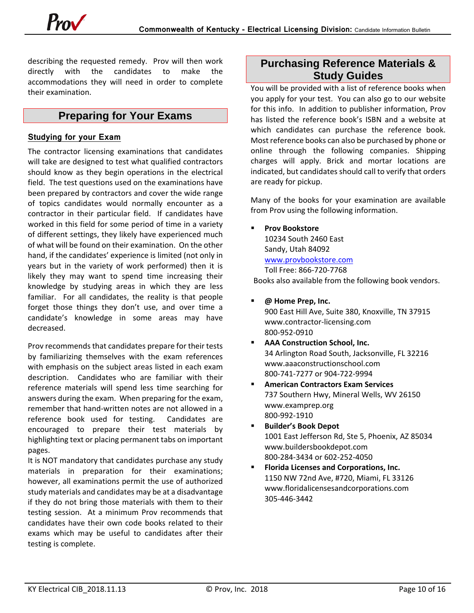describing the requested remedy. Prov will then work directly with the candidates to make the accommodations they will need in order to complete their examination.

### **Preparing for Your Exams**

#### <span id="page-9-1"></span><span id="page-9-0"></span>**Studying for your Exam**

The contractor licensing examinations that candidates will take are designed to test what qualified contractors should know as they begin operations in the electrical field. The test questions used on the examinations have been prepared by contractors and cover the wide range of topics candidates would normally encounter as a contractor in their particular field. If candidates have worked in this field for some period of time in a variety of different settings, they likely have experienced much of what will be found on their examination. On the other hand, if the candidates' experience is limited (not only in years but in the variety of work performed) then it is likely they may want to spend time increasing their knowledge by studying areas in which they are less familiar. For all candidates, the reality is that people forget those things they don't use, and over time a candidate's knowledge in some areas may have decreased.

Prov recommends that candidates prepare for their tests by familiarizing themselves with the exam references with emphasis on the subject areas listed in each exam description. Candidates who are familiar with their reference materials will spend less time searching for answers during the exam. When preparing for the exam, remember that hand-written notes are not allowed in a reference book used for testing. Candidates are encouraged to prepare their test materials by highlighting text or placing permanent tabs on important pages.

It is NOT mandatory that candidates purchase any study materials in preparation for their examinations; however, all examinations permit the use of authorized study materials and candidates may be at a disadvantage if they do not bring those materials with them to their testing session. At a minimum Prov recommends that candidates have their own code books related to their exams which may be useful to candidates after their testing is complete.

### <span id="page-9-2"></span>**Purchasing Reference Materials & Study Guides**

You will be provided with a list of reference books when you apply for your test. You can also go to our website for this info. In addition to publisher information, Prov has listed the reference book's ISBN and a website at which candidates can purchase the reference book. Most reference books can also be purchased by phone or online through the following companies. Shipping charges will apply. Brick and mortar locations are indicated, but candidates should call to verify that orders are ready for pickup.

Many of the books for your examination are available from Prov using the following information.

**Prov Bookstore** 

10234 South 2460 East Sandy, Utah 84092 [www.provbookstore.com](http://www.provbookstore.com/)

Toll Free: 866-720-7768

- Books also available from the following book vendors.
- **@ Home Prep, Inc.**

900 East Hill Ave, Suite 380, Knoxville, TN 37915 www.contractor-licensing.com 800-952-0910

- **AAA Construction School, Inc.** 34 Arlington Road South, Jacksonville, FL 32216 www.aaaconstructionschool.com 800-741-7277 or 904-722-9994
- **American Contractors Exam Services** 737 Southern Hwy, Mineral Wells, WV 26150 www.examprep.org 800-992-1910
- **Builder's Book Depot** 1001 East Jefferson Rd, Ste 5, Phoenix, AZ 85034 www.buildersbookdepot.com 800-284-3434 or 602-252-4050
- **Florida Licenses and Corporations, Inc.** 1150 NW 72nd Ave, #720, Miami, FL 33126 www.floridalicensesandcorporations.com 305-446-3442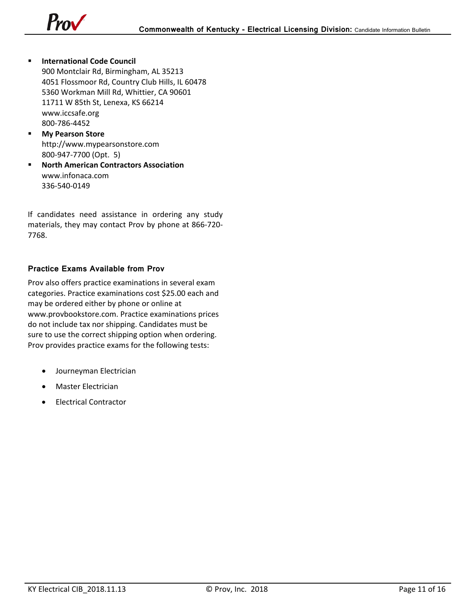

- **F** International Code Council 900 Montclair Rd, Birmingham, AL 35213 4051 Flossmoor Rd, Country Club Hills, IL 60478 5360 Workman Mill Rd, Whittier, CA 90601 11711 W 85th St, Lenexa, KS 66214 www.iccsafe.org 800-786-4452
- **My Pearson Store**  http://www.mypearsonstore.com 800-947-7700 (Opt. 5)
- **North American Contractors Association** www.infonaca.com 336-540-0149

If candidates need assistance in ordering any study materials, they may contact Prov by phone at 866-720- 7768.

### **Practice Exams Available from Prov**

Prov also offers practice examinations in several exam categories. Practice examinations cost \$25.00 each and may be ordered either by phone or online at www.provbookstore.com. Practice examinations prices do not include tax nor shipping. Candidates must be sure to use the correct shipping option when ordering. Prov provides practice exams for the following tests:

- Journeyman Electrician
- Master Electrician
- Electrical Contractor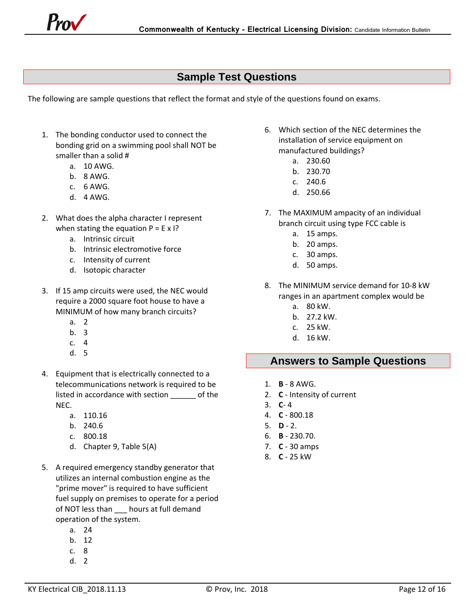

### **Sample Test Questions**

The following are sample questions that reflect the format and style of the questions found on exams.

- 1. The bonding conductor used to connect the bonding grid on a swimming pool shall NOT be smaller than a solid #
	- a. 10 AWG.
	- b. 8 AWG.
	- c. 6 AWG.
	- d. 4 AWG.
- 2. What does the alpha character I represent when stating the equation  $P = E \times I$ ?
	- a. Intrinsic circuit
	- b. Intrinsic electromotive force
	- c. Intensity of current
	- d. Isotopic character
- 3. If 15 amp circuits were used, the NEC would require a 2000 square foot house to have a MINIMUM of how many branch circuits?
	- a. 2
	- b. 3
	- c. 4
	- d. 5
- 4. Equipment that is electrically connected to a telecommunications network is required to be listed in accordance with section \_\_\_\_\_\_ of the NEC.
	- a. 110.16
	- b. 240.6
	- c. 800.18
	- d. Chapter 9, Table 5(A)
- 5. A required emergency standby generator that utilizes an internal combustion engine as the "prime mover" is required to have sufficient fuel supply on premises to operate for a period of NOT less than \_\_\_ hours at full demand operation of the system.
	- a. 24
	- b. 12
	- c. 8
	- d. 2
- <span id="page-11-0"></span>6. Which section of the NEC determines the installation of service equipment on manufactured buildings?
	- a. 230.60
	- b. 230.70
	- c. 240.6
	- d. 250.66
- 7. The MAXIMUM ampacity of an individual branch circuit using type FCC cable is
	- a. 15 amps.
	- b. 20 amps.
	- c. 30 amps.
	- d. 50 amps.
- 8. The MINIMUM service demand for 10-8 kW ranges in an apartment complex would be
	- a. 80 kW.
	- b. 27.2 kW.
	- c. 25 kW.
	- d. 16 kW.

### <span id="page-11-1"></span>**Answers to Sample Questions**

- 1. **B** 8 AWG.
- 2. **C** Intensity of current
- 3. **C** 4
- 4. **C** 800.18
- 5. **D**  2.
- 6. **B** 230.70.
- 7. **C** 30 amps
- 8. **C** 25 kW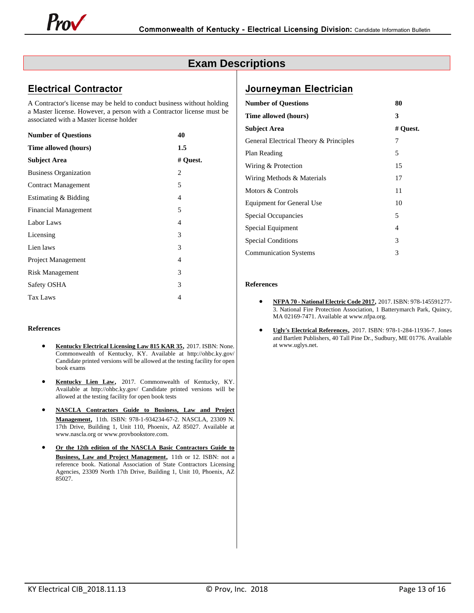### **Exam Descriptions**

### <span id="page-12-0"></span>**Electrical Contractor**

A Contractor's license may be held to conduct business without holding a Master license. However, a person with a Contractor license must be associated with a Master license holder

| <b>Number of Questions</b>   | 40             |
|------------------------------|----------------|
| Time allowed (hours)         | 1.5            |
| <b>Subject Area</b>          | # Quest.       |
| <b>Business Organization</b> | 2              |
| <b>Contract Management</b>   | 5              |
| Estimating & Bidding         | 4              |
| <b>Financial Management</b>  | 5              |
| Labor Laws                   | 4              |
| Licensing                    | 3              |
| Lien laws                    | 3              |
| Project Management           | $\overline{4}$ |
| <b>Risk Management</b>       | 3              |
| Safety OSHA                  | 3              |
| Tax Laws                     | 4              |
|                              |                |

#### **References**

- **Kentucky Electrical Licensing Law 815 KAR 35**, 2017. ISBN: None. Commonwealth of Kentucky, KY. Available at http://ohbc.ky.gov/ Candidate printed versions will be allowed at the testing facility for open book exams
- **Kentucky Lien Law**, 2017. Commonwealth of Kentucky, KY. Available at http://ohbc.ky.gov/ Candidate printed versions will be allowed at the testing facility for open book tests
- **NASCLA Contractors Guide to Business, Law and Project Management**, 11th. ISBN: 978-1-934234-67-2. NASCLA, 23309 N. 17th Drive, Building 1, Unit 110, Phoenix, AZ 85027. Available at www.nascla.org or www.provbookstore.com.
- **Or the 12th edition of the NASCLA Basic Contractors Guide to Business, Law and Project Management**, 11th or 12. ISBN: not a reference book. National Association of State Contractors Licensing Agencies, 23309 North 17th Drive, Building 1, Unit 10, Phoenix, AZ 85027.

### **Journeyman Electrician**

| <b>Number of Questions</b>             | 80       |
|----------------------------------------|----------|
| Time allowed (hours)                   | 3        |
| <b>Subject Area</b>                    | # Quest. |
| General Electrical Theory & Principles | 7        |
| Plan Reading                           | 5        |
| Wiring & Protection                    | 15       |
| Wiring Methods & Materials             | 17       |
| Motors & Controls                      | 11       |
| <b>Equipment for General Use</b>       | 10       |
| Special Occupancies                    | 5        |
| Special Equipment                      | 4        |
| <b>Special Conditions</b>              | 3        |
| <b>Communication Systems</b>           | 3        |

#### **References**

- **NFPA 70 - National Electric Code 2017**, 2017. ISBN: 978-145591277- 3. National Fire Protection Association, 1 Batterymarch Park, Quincy, MA 02169-7471. Available at www.nfpa.org.
- **Ugly's Electrical References**, 2017. ISBN: 978-1-284-11936-7. Jones and Bartlett Publishers, 40 Tall Pine Dr., Sudbury, ME 01776. Available at www.uglys.net.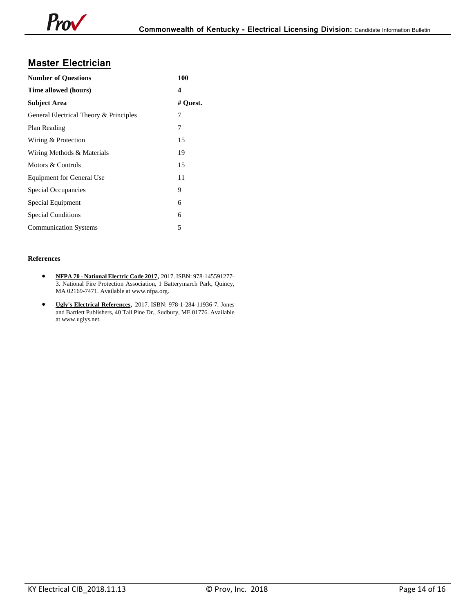### **Master Electrician**

| <b>Number of Questions</b>             | 100      |
|----------------------------------------|----------|
| Time allowed (hours)                   | 4        |
| <b>Subject Area</b>                    | # Quest. |
| General Electrical Theory & Principles | 7        |
| Plan Reading                           | 7        |
| Wiring & Protection                    | 15       |
| Wiring Methods & Materials             | 19       |
| Motors & Controls                      | 15       |
| Equipment for General Use              | 11       |
| Special Occupancies                    | 9        |
| Special Equipment                      | 6        |
| <b>Special Conditions</b>              | 6        |
| <b>Communication Systems</b>           | 5        |

#### **References**

- **NFPA 70 - National Electric Code 2017**, 2017. ISBN: 978-145591277- 3. National Fire Protection Association, 1 Batterymarch Park, Quincy, MA 02169-7471. Available at www.nfpa.org.
- **Ugly's Electrical References**, 2017. ISBN: 978-1-284-11936-7. Jones and Bartlett Publishers, 40 Tall Pine Dr., Sudbury, ME 01776. Available at www.uglys.net.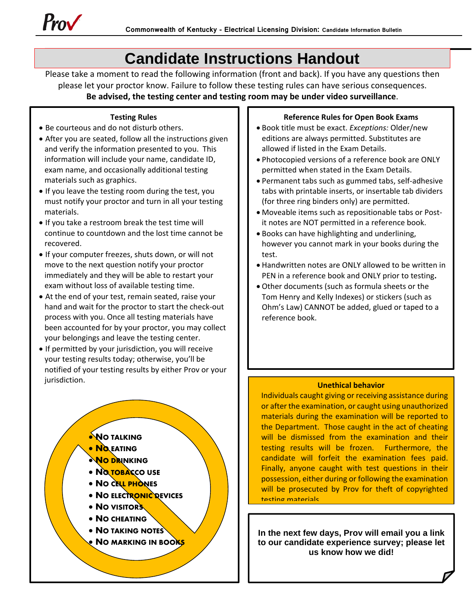

## **Candidate Instructions Handout**

<span id="page-14-0"></span>Please take a moment to read the following information (front and back). If you have any questions then please let your proctor know. Failure to follow these testing rules can have serious consequences. **Be advised, the testing center and testing room may be under video surveillance**.

#### **Testing Rules**

- Be courteous and do not disturb others.
- After you are seated, follow all the instructions given and verify the information presented to you. This information will include your name, candidate ID, exam name, and occasionally additional testing materials such as graphics.
- If you leave the testing room during the test, you must notify your proctor and turn in all your testing materials.
- If you take a restroom break the test time will continue to countdown and the lost time cannot be recovered.
- If your computer freezes, shuts down, or will not move to the next question notify your proctor immediately and they will be able to restart your exam without loss of available testing time.
- At the end of your test, remain seated, raise your hand and wait for the proctor to start the check-out process with you. Once all testing materials have been accounted for by your proctor, you may collect your belongings and leave the testing center.
- If permitted by your jurisdiction, you will receive your testing results today; otherwise, you'll be notified of your testing results by either Prov or your jurisdiction.

### **NO TALKING**

- **NO EATING**
- **NO DRINKING**
- **NO TOBACCO USE**
- **NO CELL PHONES**
- **NO ELECTRONIC DEVICES**
- **NO VISITORS**
- **NO CHEATING**
- **NO TAKING NOTES**
- **NO MARKING IN BOOKS**

#### **Reference Rules for Open Book Exams**

- Book title must be exact. *Exceptions:* Older/new editions are always permitted. Substitutes are allowed if listed in the Exam Details.
- Photocopied versions of a reference book are ONLY permitted when stated in the Exam Details.
- Permanent tabs such as gummed tabs, self-adhesive tabs with printable inserts, or insertable tab dividers (for three ring binders only) are permitted.
- Moveable items such as repositionable tabs or Postit notes are NOT permitted in a reference book.
- Books can have highlighting and underlining, however you cannot mark in your books during the test.
- Handwritten notes are ONLY allowed to be written in PEN in a reference book and ONLY prior to testing**.**
- Other documents (such as formula sheets or the Tom Henry and Kelly Indexes) or stickers (such as Ohm's Law) CANNOT be added, glued or taped to a reference book.

#### **Unethical behavior**

Individuals caught giving or receiving assistance during or after the examination, or caught using unauthorized materials during the examination will be reported to the Department. Those caught in the act of cheating will be dismissed from the examination and their testing results will be frozen. Furthermore, the candidate will forfeit the examination fees paid. Finally, anyone caught with test questions in their possession, either during or following the examination will be prosecuted by Prov for theft of copyrighted testing materials

**In the next few days, Prov will email you a link to our candidate experience survey; please let us know how we did!**